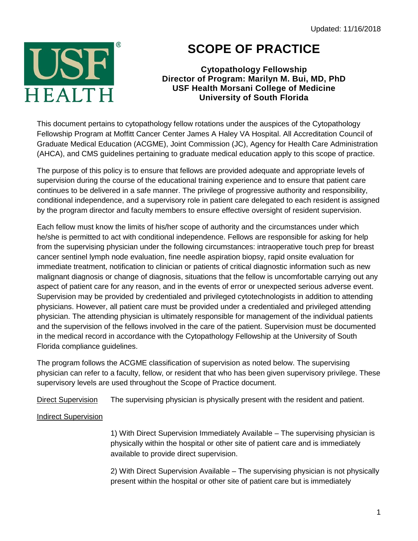Updated: 11/16/2018



## **SCOPE OF PRACTICE**

## **Cytopathology Fellowship Director of Program: Marilyn M. Bui, MD, PhD USF Health Morsani College of Medicine University of South Florida**

This document pertains to cytopathology fellow rotations under the auspices of the Cytopathology Fellowship Program at Moffitt Cancer Center James A Haley VA Hospital. All Accreditation Council of Graduate Medical Education (ACGME), Joint Commission (JC), Agency for Health Care Administration (AHCA), and CMS guidelines pertaining to graduate medical education apply to this scope of practice.

The purpose of this policy is to ensure that fellows are provided adequate and appropriate levels of supervision during the course of the educational training experience and to ensure that patient care continues to be delivered in a safe manner. The privilege of progressive authority and responsibility, conditional independence, and a supervisory role in patient care delegated to each resident is assigned by the program director and faculty members to ensure effective oversight of resident supervision.

Each fellow must know the limits of his/her scope of authority and the circumstances under which he/she is permitted to act with conditional independence. Fellows are responsible for asking for help from the supervising physician under the following circumstances: intraoperative touch prep for breast cancer sentinel lymph node evaluation, fine needle aspiration biopsy, rapid onsite evaluation for immediate treatment, notification to clinician or patients of critical diagnostic information such as new malignant diagnosis or change of diagnosis, situations that the fellow is uncomfortable carrying out any aspect of patient care for any reason, and in the events of error or unexpected serious adverse event. Supervision may be provided by credentialed and privileged cytotechnologists in addition to attending physicians. However, all patient care must be provided under a credentialed and privileged attending physician. The attending physician is ultimately responsible for management of the individual patients and the supervision of the fellows involved in the care of the patient. Supervision must be documented in the medical record in accordance with the Cytopathology Fellowship at the University of South Florida compliance guidelines.

The program follows the ACGME classification of supervision as noted below. The supervising physician can refer to a faculty, fellow, or resident that who has been given supervisory privilege. These supervisory levels are used throughout the Scope of Practice document.

Direct Supervision The supervising physician is physically present with the resident and patient.

## Indirect Supervision

1) With Direct Supervision Immediately Available – The supervising physician is physically within the hospital or other site of patient care and is immediately available to provide direct supervision.

2) With Direct Supervision Available – The supervising physician is not physically present within the hospital or other site of patient care but is immediately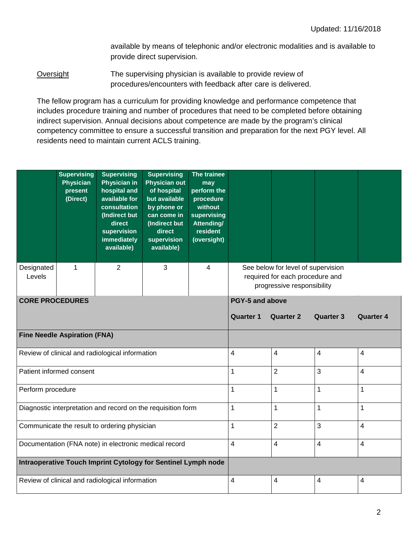available by means of telephonic and/or electronic modalities and is available to provide direct supervision.

Oversight The supervising physician is available to provide review of procedures/encounters with feedback after care is delivered.

The fellow program has a curriculum for providing knowledge and performance competence that includes procedure training and number of procedures that need to be completed before obtaining indirect supervision. Annual decisions about competence are made by the program's clinical competency committee to ensure a successful transition and preparation for the next PGY level. All residents need to maintain current ACLS training.

|                                                               | <b>Supervising</b><br><b>Physician</b><br>present<br>(Direct) | <b>Supervising</b><br><b>Physician in</b><br>hospital and<br>available for<br>consultation<br>(Indirect but<br>direct<br>supervision<br>immediately<br>available) | <b>Supervising</b><br><b>Physician out</b><br>of hospital<br>but available<br>by phone or<br>can come in<br>(Indirect but<br>direct<br>supervision<br>available) | The trainee<br>may<br>perform the<br>procedure<br>without<br>supervising<br><b>Attending/</b><br>resident<br>(oversight) |                                                                                                     |                         |                         |                  |  |
|---------------------------------------------------------------|---------------------------------------------------------------|-------------------------------------------------------------------------------------------------------------------------------------------------------------------|------------------------------------------------------------------------------------------------------------------------------------------------------------------|--------------------------------------------------------------------------------------------------------------------------|-----------------------------------------------------------------------------------------------------|-------------------------|-------------------------|------------------|--|
| Designated<br>Levels                                          | 1                                                             | $\overline{2}$                                                                                                                                                    | $\mathfrak{S}$                                                                                                                                                   | 4                                                                                                                        | See below for level of supervision<br>required for each procedure and<br>progressive responsibility |                         |                         |                  |  |
| <b>CORE PROCEDURES</b>                                        |                                                               |                                                                                                                                                                   |                                                                                                                                                                  |                                                                                                                          | PGY-5 and above                                                                                     |                         |                         |                  |  |
|                                                               |                                                               |                                                                                                                                                                   |                                                                                                                                                                  |                                                                                                                          | <b>Quarter 1</b>                                                                                    | <b>Quarter 2</b>        | <b>Quarter 3</b>        | <b>Quarter 4</b> |  |
| <b>Fine Needle Aspiration (FNA)</b>                           |                                                               |                                                                                                                                                                   |                                                                                                                                                                  |                                                                                                                          |                                                                                                     |                         |                         |                  |  |
| Review of clinical and radiological information               |                                                               |                                                                                                                                                                   |                                                                                                                                                                  |                                                                                                                          | 4                                                                                                   | $\overline{\mathbf{4}}$ | $\overline{\mathbf{4}}$ | 4                |  |
| Patient informed consent                                      |                                                               |                                                                                                                                                                   |                                                                                                                                                                  |                                                                                                                          | 1                                                                                                   | $\overline{2}$          | 3                       | 4                |  |
| Perform procedure                                             |                                                               |                                                                                                                                                                   |                                                                                                                                                                  |                                                                                                                          | 1                                                                                                   | 1                       | $\mathbf{1}$            | 1                |  |
| Diagnostic interpretation and record on the requisition form  |                                                               |                                                                                                                                                                   |                                                                                                                                                                  |                                                                                                                          | 1                                                                                                   | $\mathbf{1}$            | $\mathbf{1}$            | 1                |  |
| Communicate the result to ordering physician                  |                                                               |                                                                                                                                                                   |                                                                                                                                                                  |                                                                                                                          | 1                                                                                                   | $\overline{2}$          | $\overline{3}$          | $\overline{4}$   |  |
| Documentation (FNA note) in electronic medical record         |                                                               |                                                                                                                                                                   |                                                                                                                                                                  |                                                                                                                          | 4                                                                                                   | $\overline{4}$          | $\overline{4}$          | $\overline{4}$   |  |
| Intraoperative Touch Imprint Cytology for Sentinel Lymph node |                                                               |                                                                                                                                                                   |                                                                                                                                                                  |                                                                                                                          |                                                                                                     |                         |                         |                  |  |
| Review of clinical and radiological information               |                                                               |                                                                                                                                                                   |                                                                                                                                                                  |                                                                                                                          | 4                                                                                                   | 4                       | 4                       | 4                |  |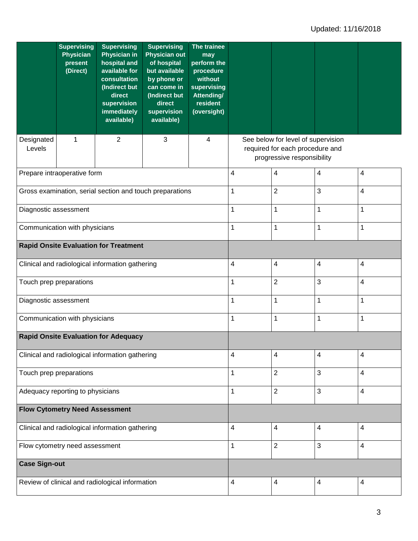|                                                 | <b>Supervising</b><br><b>Physician</b><br>present<br>(Direct) | <b>Supervising</b><br><b>Physician in</b><br>hospital and<br>available for<br>consultation<br>(Indirect but<br>direct<br>supervision<br>immediately<br>available) | <b>Supervising</b><br><b>Physician out</b><br>of hospital<br>but available<br>by phone or<br>can come in<br>(Indirect but<br>direct<br>supervision<br>available) | The trainee<br>may<br>perform the<br>procedure<br>without<br>supervising<br><b>Attending/</b><br>resident<br>(oversight) |                                                                                                     |                         |             |                         |  |
|-------------------------------------------------|---------------------------------------------------------------|-------------------------------------------------------------------------------------------------------------------------------------------------------------------|------------------------------------------------------------------------------------------------------------------------------------------------------------------|--------------------------------------------------------------------------------------------------------------------------|-----------------------------------------------------------------------------------------------------|-------------------------|-------------|-------------------------|--|
| Designated<br>Levels                            | 1                                                             | 2                                                                                                                                                                 | 3                                                                                                                                                                | 4                                                                                                                        | See below for level of supervision<br>required for each procedure and<br>progressive responsibility |                         |             |                         |  |
|                                                 | Prepare intraoperative form                                   |                                                                                                                                                                   |                                                                                                                                                                  |                                                                                                                          | 4                                                                                                   | $\overline{\mathbf{4}}$ | 4           | $\overline{4}$          |  |
|                                                 |                                                               |                                                                                                                                                                   | Gross examination, serial section and touch preparations                                                                                                         |                                                                                                                          | 1                                                                                                   | $\overline{2}$          | 3           | $\overline{4}$          |  |
| Diagnostic assessment                           |                                                               |                                                                                                                                                                   |                                                                                                                                                                  |                                                                                                                          | 1                                                                                                   | 1                       | 1           | 1                       |  |
| Communication with physicians                   |                                                               |                                                                                                                                                                   |                                                                                                                                                                  |                                                                                                                          | 1                                                                                                   | $\mathbf 1$             | $\mathbf 1$ | 1                       |  |
| <b>Rapid Onsite Evaluation for Treatment</b>    |                                                               |                                                                                                                                                                   |                                                                                                                                                                  |                                                                                                                          |                                                                                                     |                         |             |                         |  |
| Clinical and radiological information gathering |                                                               |                                                                                                                                                                   |                                                                                                                                                                  |                                                                                                                          | 4                                                                                                   | $\overline{\mathbf{4}}$ | 4           | $\overline{4}$          |  |
| Touch prep preparations                         |                                                               |                                                                                                                                                                   |                                                                                                                                                                  |                                                                                                                          | 1                                                                                                   | $\overline{2}$          | 3           | $\overline{4}$          |  |
| Diagnostic assessment                           |                                                               |                                                                                                                                                                   |                                                                                                                                                                  |                                                                                                                          | 1                                                                                                   | $\mathbf{1}$            | 1           | 1                       |  |
| Communication with physicians                   |                                                               |                                                                                                                                                                   |                                                                                                                                                                  |                                                                                                                          | 1                                                                                                   | $\mathbf 1$             | 1           | 1                       |  |
| <b>Rapid Onsite Evaluation for Adequacy</b>     |                                                               |                                                                                                                                                                   |                                                                                                                                                                  |                                                                                                                          |                                                                                                     |                         |             |                         |  |
| Clinical and radiological information gathering |                                                               |                                                                                                                                                                   |                                                                                                                                                                  |                                                                                                                          | 4                                                                                                   | 4                       | 4           | 4                       |  |
| Touch prep preparations                         |                                                               |                                                                                                                                                                   |                                                                                                                                                                  |                                                                                                                          | 1                                                                                                   | $\overline{2}$          | 3           | $\overline{\mathbf{4}}$ |  |
| Adequacy reporting to physicians                |                                                               |                                                                                                                                                                   |                                                                                                                                                                  |                                                                                                                          | 1                                                                                                   | $\overline{2}$          | 3           | $\overline{\mathbf{4}}$ |  |
| <b>Flow Cytometry Need Assessment</b>           |                                                               |                                                                                                                                                                   |                                                                                                                                                                  |                                                                                                                          |                                                                                                     |                         |             |                         |  |
| Clinical and radiological information gathering |                                                               |                                                                                                                                                                   |                                                                                                                                                                  |                                                                                                                          | 4                                                                                                   | 4                       | 4           | $\overline{4}$          |  |
| Flow cytometry need assessment                  |                                                               |                                                                                                                                                                   |                                                                                                                                                                  |                                                                                                                          | 1                                                                                                   | $\overline{2}$          | 3           | $\overline{4}$          |  |
| <b>Case Sign-out</b>                            |                                                               |                                                                                                                                                                   |                                                                                                                                                                  |                                                                                                                          |                                                                                                     |                         |             |                         |  |
| Review of clinical and radiological information |                                                               |                                                                                                                                                                   |                                                                                                                                                                  |                                                                                                                          | 4                                                                                                   | $\overline{\mathbf{4}}$ | 4           | 4                       |  |